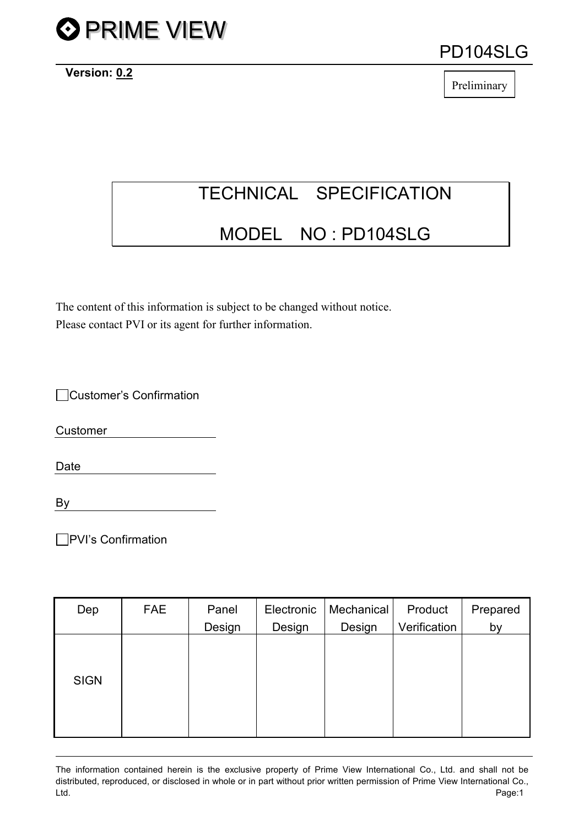

Version: 0.2

PD104SLG

Preliminary

# TECHNICAL SPECIFICATION

## MODEL NO : PD104SLG

The content of this information is subject to be changed without notice. Please contact PVI or its agent for further information.

Customer's Confirmation

Customer

Date and the state of the state of the state of the state of the state of the state of the state of the state of the state of the state of the state of the state of the state of the state of the state of the state of the s

B<sub>v</sub>

PVI's Confirmation

| Dep         | <b>FAE</b> | Panel  | Electronic | Mechanical | Product      | Prepared |
|-------------|------------|--------|------------|------------|--------------|----------|
|             |            | Design | Design     | Design     | Verification | by       |
| <b>SIGN</b> |            |        |            |            |              |          |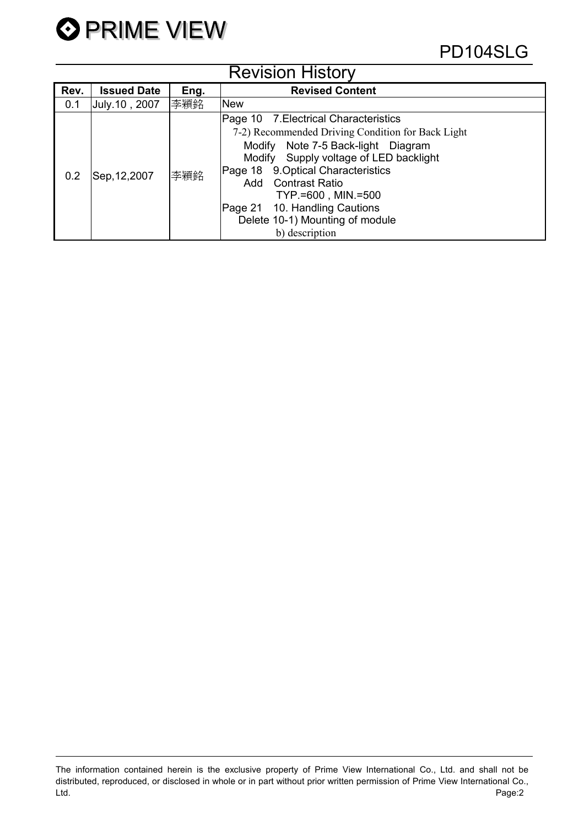

|      | <b>Revision History</b> |      |                                                                                                                                                                                                                                                                                                                                                               |  |  |  |  |  |
|------|-------------------------|------|---------------------------------------------------------------------------------------------------------------------------------------------------------------------------------------------------------------------------------------------------------------------------------------------------------------------------------------------------------------|--|--|--|--|--|
| Rev. | <b>Issued Date</b>      | Eng. | <b>Revised Content</b>                                                                                                                                                                                                                                                                                                                                        |  |  |  |  |  |
| 0.1  | July.10, 2007           | 李穎銘  | <b>New</b>                                                                                                                                                                                                                                                                                                                                                    |  |  |  |  |  |
| 0.2  | Sep, 12, 2007           | 李穎銘  | Page 10 7. Electrical Characteristics<br>7-2) Recommended Driving Condition for Back Light<br>Modify Note 7-5 Back-light Diagram<br>Modify Supply voltage of LED backlight<br>Page 18 9. Optical Characteristics<br><b>Add</b> Contrast Ratio<br>TYP. = 600, MIN. = 500<br>Page 21 10. Handling Cautions<br>Delete 10-1) Mounting of module<br>b) description |  |  |  |  |  |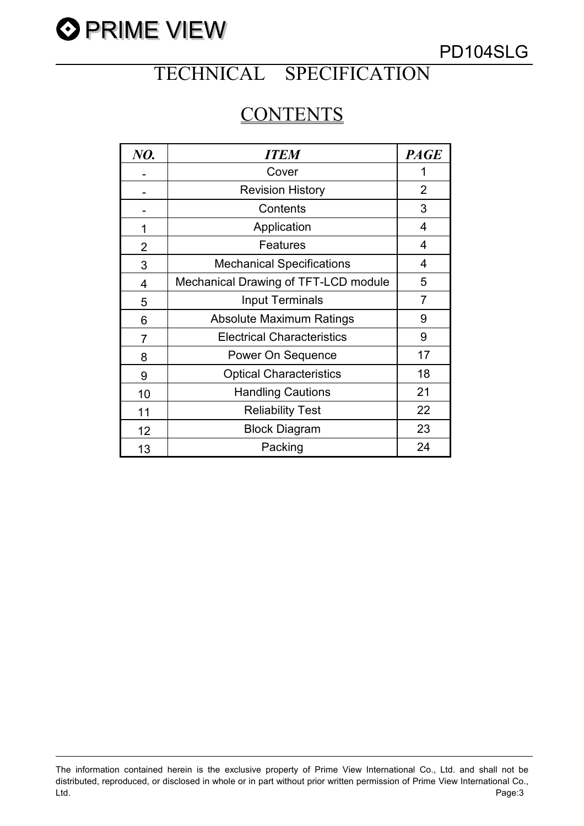

# TECHNICAL SPECIFICATION

## **CONTENTS**

| NO.            | <b>ITEM</b>                          | <b>PAGE</b>    |
|----------------|--------------------------------------|----------------|
|                | Cover                                | 1              |
|                | <b>Revision History</b>              | $\overline{2}$ |
|                | Contents                             | 3              |
| 1              | Application                          | 4              |
| $\overline{2}$ | Features                             | 4              |
| 3              | <b>Mechanical Specifications</b>     | 4              |
| 4              | Mechanical Drawing of TFT-LCD module | 5              |
| 5              | <b>Input Terminals</b>               | 7              |
| 6              | <b>Absolute Maximum Ratings</b>      | 9              |
| $\overline{7}$ | <b>Electrical Characteristics</b>    | 9              |
| 8              | Power On Sequence                    | 17             |
| 9              | <b>Optical Characteristics</b>       | 18             |
| 10             | <b>Handling Cautions</b>             | 21             |
| 11             | <b>Reliability Test</b>              | 22             |
| 12             | <b>Block Diagram</b>                 | 23             |
| 13             | Packing                              | 24             |

The information contained herein is the exclusive property of Prime View International Co., Ltd. and shall not be distributed, reproduced, or disclosed in whole or in part without prior written permission of Prime View International Co., Ltd. Page:3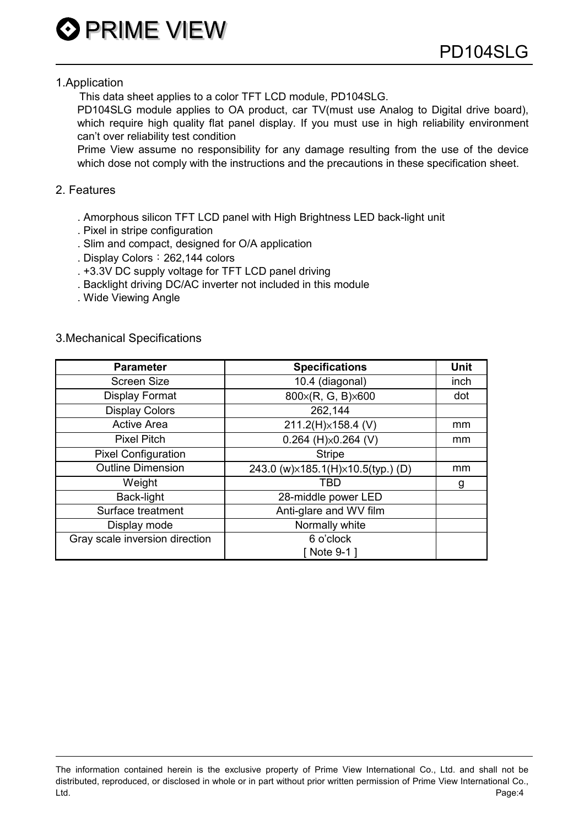#### 1.Application

This data sheet applies to a color TFT LCD module, PD104SLG.

 PD104SLG module applies to OA product, car TV(must use Analog to Digital drive board), which require high quality flat panel display. If you must use in high reliability environment can't over reliability test condition

Prime View assume no responsibility for any damage resulting from the use of the device which dose not comply with the instructions and the precautions in these specification sheet.

#### 2. Features

- . Amorphous silicon TFT LCD panel with High Brightness LED back-light unit
- . Pixel in stripe configuration
- . Slim and compact, designed for O/A application
- . Display Colors: 262,144 colors
- . +3.3V DC supply voltage for TFT LCD panel driving
- . Backlight driving DC/AC inverter not included in this module
- . Wide Viewing Angle

#### 3.Mechanical Specifications

| <b>Parameter</b>               | <b>Specifications</b>             | Unit |
|--------------------------------|-----------------------------------|------|
| <b>Screen Size</b>             | 10.4 (diagonal)                   | inch |
| <b>Display Format</b>          | 800×(R, G, B)×600                 | dot  |
| <b>Display Colors</b>          | 262,144                           |      |
| <b>Active Area</b>             | 211.2(H)×158.4 (V)                | mm   |
| <b>Pixel Pitch</b>             | $0.264$ (H) $\times$ 0.264 (V)    | mm   |
| <b>Pixel Configuration</b>     | <b>Stripe</b>                     |      |
| <b>Outline Dimension</b>       | 243.0 (w)×185.1(H)×10.5(typ.) (D) | mm   |
| Weight                         | TBD                               | g    |
| Back-light                     | 28-middle power LED               |      |
| Surface treatment              | Anti-glare and WV film            |      |
| Display mode                   | Normally white                    |      |
| Gray scale inversion direction | 6 o'clock                         |      |
|                                | [Note 9-1]                        |      |

The information contained herein is the exclusive property of Prime View International Co., Ltd. and shall not be distributed, reproduced, or disclosed in whole or in part without prior written permission of Prime View International Co., Ltd. Page:4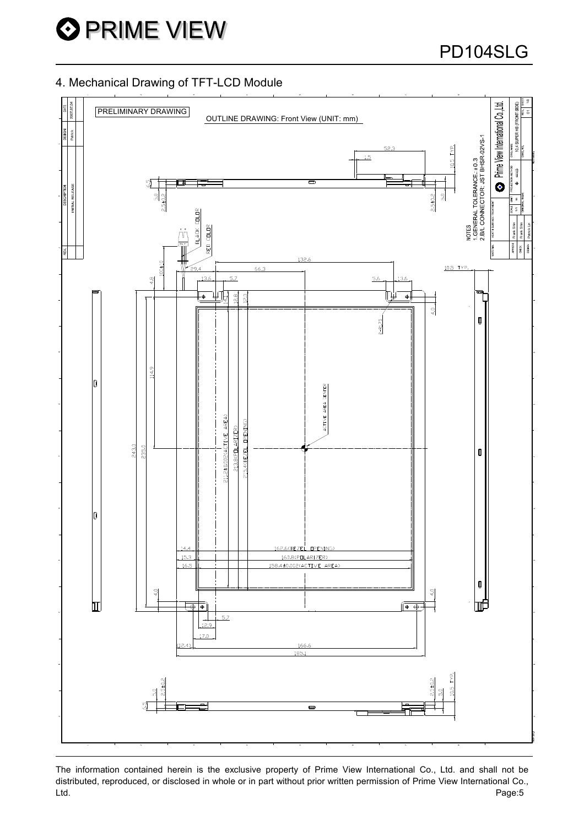

#### 4. Mechanical Drawing of TFT-LCD Module

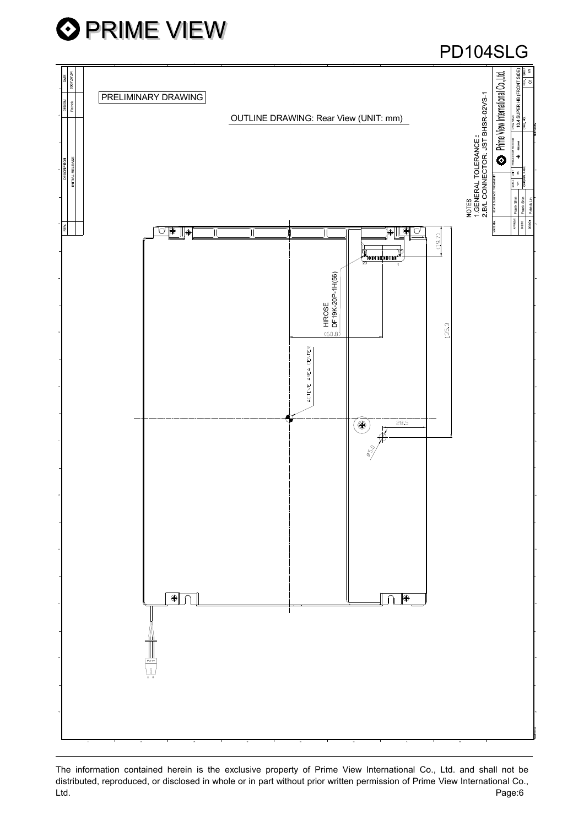

## PD104SLG

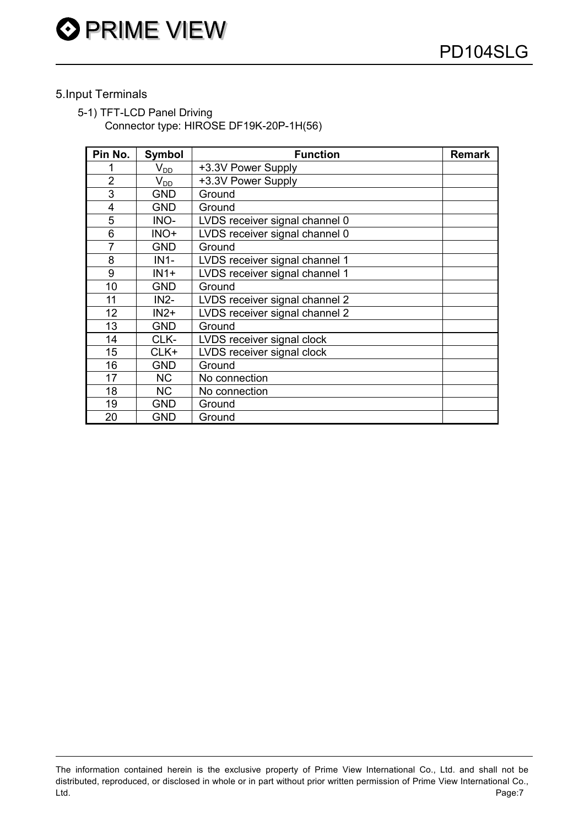#### 5.Input Terminals

5-1) TFT-LCD Panel Driving Connector type: HIROSE DF19K-20P-1H(56)

| Pin No.        | Symbol                     | <b>Function</b>                | <b>Remark</b> |
|----------------|----------------------------|--------------------------------|---------------|
|                | V <sub>DD</sub>            | +3.3V Power Supply             |               |
| $\overline{2}$ | $\mathsf{V}_{\mathsf{DD}}$ | +3.3V Power Supply             |               |
| 3              | <b>GND</b>                 | Ground                         |               |
| 4              | <b>GND</b>                 | Ground                         |               |
| 5              | INO-                       | LVDS receiver signal channel 0 |               |
| 6              | INO+                       | LVDS receiver signal channel 0 |               |
| $\overline{7}$ | <b>GND</b>                 | Ground                         |               |
| 8              | $IN1-$                     | LVDS receiver signal channel 1 |               |
| 9              | $IN1+$                     | LVDS receiver signal channel 1 |               |
| 10             | <b>GND</b>                 | Ground                         |               |
| 11             | $IN2-$                     | LVDS receiver signal channel 2 |               |
| 12             | $IN2+$                     | LVDS receiver signal channel 2 |               |
| 13             | <b>GND</b>                 | Ground                         |               |
| 14             | CLK-                       | LVDS receiver signal clock     |               |
| 15             | CLK+                       | LVDS receiver signal clock     |               |
| 16             | <b>GND</b>                 | Ground                         |               |
| 17             | <b>NC</b>                  | No connection                  |               |
| 18             | <b>NC</b>                  | No connection                  |               |
| 19             | <b>GND</b>                 | Ground                         |               |
| 20             | <b>GND</b>                 | Ground                         |               |

The information contained herein is the exclusive property of Prime View International Co., Ltd. and shall not be distributed, reproduced, or disclosed in whole or in part without prior written permission of Prime View International Co., Ltd. Page:7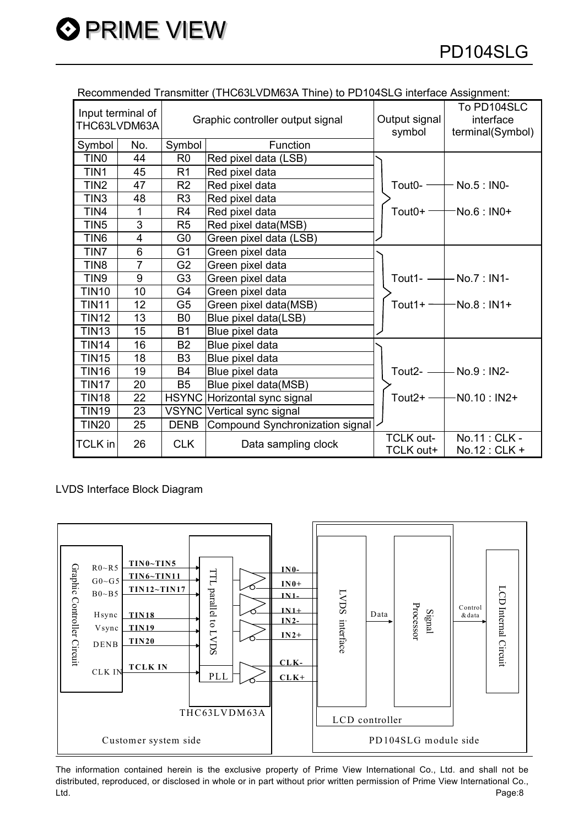I

|                                   |                |                | INCLUITING IN INTERNATIONAL LITTLE IN THE REPORT OF THE INTERNATIONAL LITTLE IN INTERNATIONAL LITTLE IN THE INCLINE OF A STRING IN IT. |                               |                                              |
|-----------------------------------|----------------|----------------|----------------------------------------------------------------------------------------------------------------------------------------|-------------------------------|----------------------------------------------|
| Input terminal of<br>THC63LVDM63A |                |                | Graphic controller output signal                                                                                                       | Output signal<br>symbol       | To PD104SLC<br>interface<br>terminal(Symbol) |
| Symbol                            | No.            | Symbol         | Function                                                                                                                               |                               |                                              |
| TIN <sub>0</sub>                  | 44             | R <sub>0</sub> | Red pixel data (LSB)                                                                                                                   |                               |                                              |
| TIN1                              | 45             | R <sub>1</sub> | Red pixel data                                                                                                                         |                               |                                              |
| TIN <sub>2</sub>                  | 47             | R2             | Red pixel data                                                                                                                         | Tout0- $-$                    | - No.5 : IN0-                                |
| TIN <sub>3</sub>                  | 48             | R <sub>3</sub> | Red pixel data                                                                                                                         |                               |                                              |
| TIN4                              | $\mathbf{1}$   | R <sub>4</sub> | Red pixel data                                                                                                                         | Tout $0+$                     | -No.6 : IN0+                                 |
| TIN <sub>5</sub>                  | 3              | R <sub>5</sub> | Red pixel data(MSB)                                                                                                                    |                               |                                              |
| TIN <sub>6</sub>                  | $\overline{4}$ | G <sub>0</sub> | Green pixel data (LSB)                                                                                                                 |                               |                                              |
| TIN7                              | 6              | G <sub>1</sub> | Green pixel data                                                                                                                       |                               |                                              |
| TIN <sub>8</sub>                  | $\overline{7}$ | G <sub>2</sub> | Green pixel data                                                                                                                       |                               |                                              |
| TIN <sub>9</sub>                  | 9              | G <sub>3</sub> | Green pixel data                                                                                                                       | Tout1- $-$                    | $-$ No.7 : IN1-                              |
| <b>TIN10</b>                      | 10             | G4             | Green pixel data                                                                                                                       |                               |                                              |
| <b>TIN11</b>                      | 12             | G <sub>5</sub> | Green pixel data(MSB)                                                                                                                  | Tout $1+$ –                   | $-No.8:IN1+$                                 |
| <b>TIN12</b>                      | 13             | B <sub>0</sub> | Blue pixel data(LSB)                                                                                                                   |                               |                                              |
| <b>TIN13</b>                      | 15             | <b>B1</b>      | Blue pixel data                                                                                                                        |                               |                                              |
| <b>TIN14</b>                      | 16             | <b>B2</b>      | Blue pixel data                                                                                                                        |                               |                                              |
| <b>TIN15</b>                      | 18             | B <sub>3</sub> | Blue pixel data                                                                                                                        |                               |                                              |
| <b>TIN16</b>                      | 19             | <b>B4</b>      | Blue pixel data                                                                                                                        | Tout $2-$                     | - No.9 : IN2-                                |
| TIN <sub>17</sub>                 | 20             | <b>B5</b>      | Blue pixel data(MSB)                                                                                                                   |                               |                                              |
| <b>TIN18</b>                      | 22             |                | HSYNC Horizontal sync signal                                                                                                           | Tout $2+$ -                   | $-N0.10 : IN2+$                              |
| <b>TIN19</b>                      | 23             |                | VSYNC Vertical sync signal                                                                                                             |                               |                                              |
| <b>TIN20</b>                      | 25             | <b>DENB</b>    | Compound Synchronization signal                                                                                                        |                               |                                              |
| <b>TCLK</b> in                    | 26             | <b>CLK</b>     | Data sampling clock                                                                                                                    | <b>TCLK out-</b><br>TCLK out+ | No.11 : CLK -<br>No.12 : CLK +               |

Recommended Transmitter (THC63LVDM63A Thine) to PD104SLG interface Assignment:

#### LVDS Interface Block Diagram

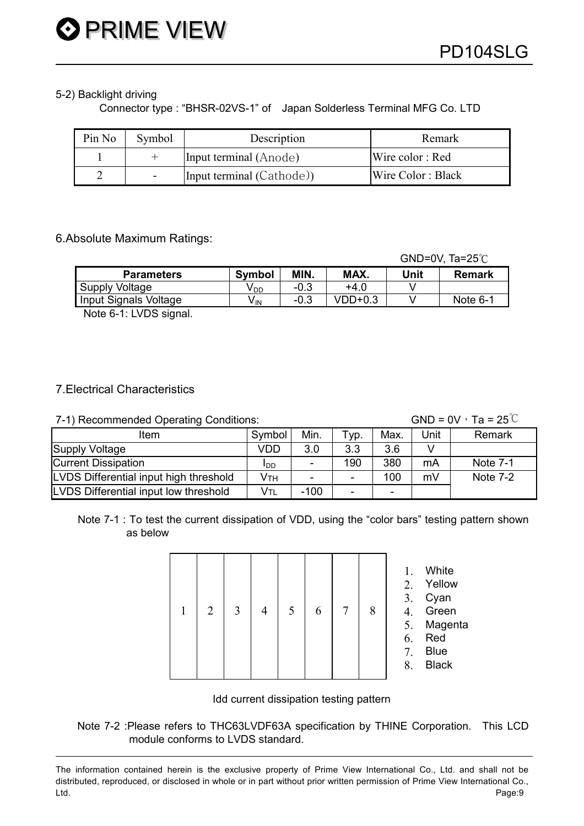#### 5-2) Backlight driving

Connector type : "BHSR-02VS-1" of Japan Solderless Terminal MFG Co. LTD

| Pin No | Symbol | Description               | Remark            |
|--------|--------|---------------------------|-------------------|
|        |        | Input terminal (Anode)    | Wire color: Red   |
|        |        | Input terminal (Cathode)) | Wire Color: Black |

#### 6.Absolute Maximum Ratings:

|                       |                 |        |           |      | GND=0V, $Ta=25^{\circ}$ C |
|-----------------------|-----------------|--------|-----------|------|---------------------------|
| <b>Parameters</b>     | <b>Symbol</b>   | MIN.   | MAX.      | Unit | <b>Remark</b>             |
| Supply Voltage        | V DD            | $-0.3$ | +4 0      |      |                           |
| Input Signals Voltage | V <sub>IN</sub> | -0.3   | $VDD+0.3$ |      | Note 6-1                  |

Note 6-1: LVDS signal.

7.Electrical Characteristics

| GND = $0V \cdot Ta = 25^{\circ}C$<br>7-1) Recommended Operating Conditions: |             |                          |                          |                          |      |                 |  |
|-----------------------------------------------------------------------------|-------------|--------------------------|--------------------------|--------------------------|------|-----------------|--|
| Item                                                                        | Symbol      | Min.                     | Typ.                     | Max.                     | Unit | Remark          |  |
| Supply Voltage                                                              | VDD         | 3.0                      | 3.3                      | 3.6                      |      |                 |  |
| <b>Current Dissipation</b>                                                  | <b>I</b> DD | $\overline{\phantom{a}}$ | 190                      | 380                      | mA   | <b>Note 7-1</b> |  |
| LVDS Differential input high threshold                                      | Ѵтн         | $\overline{\phantom{0}}$ | $\overline{\phantom{0}}$ | 100                      | mV   | Note 7-2        |  |
| LVDS Differential input low threshold                                       | Vtl         | $-100$                   | $\overline{\phantom{0}}$ | $\overline{\phantom{0}}$ |      |                 |  |

Note 7-1 : To test the current dissipation of VDD, using the "color bars" testing pattern shown as below

|  | 2 | 3 |  | 5 |  |  | 8 | 2.<br>3.<br>4.<br>5.<br>6.<br>7. | White<br>Yellow<br>Cyan<br>Green<br>Magenta<br>Red<br><b>Blue</b><br><b>Black</b> |
|--|---|---|--|---|--|--|---|----------------------------------|-----------------------------------------------------------------------------------|
|--|---|---|--|---|--|--|---|----------------------------------|-----------------------------------------------------------------------------------|

Idd current dissipation testing pattern

Note 7-2 :Please refers to THC63LVDF63A specification by THINE Corporation. This LCD module conforms to LVDS standard.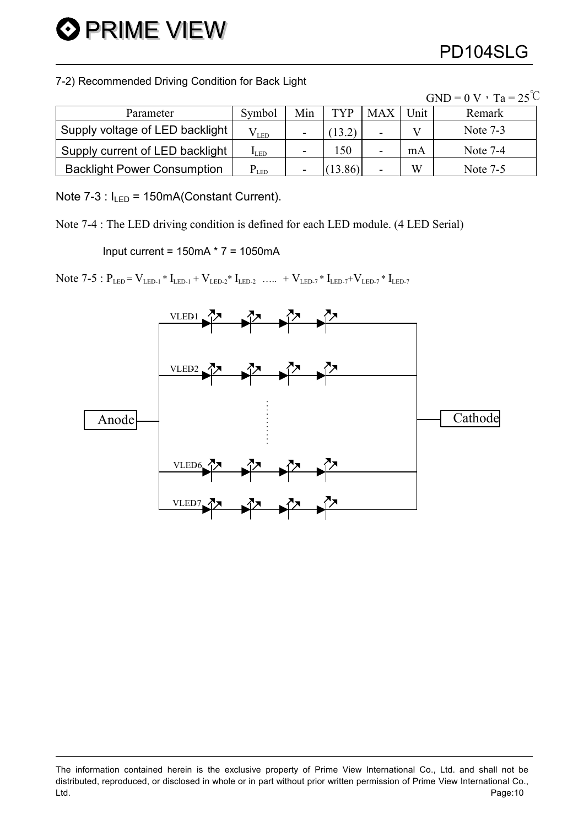$GMD = 0$   $V = T - 25^\circ C$ 

#### 7-2) Recommended Driving Condition for Back Light

|                                    |               |                          |            |            |      | $\mathbf{U} \mathbf{U} \mathbf{U} = \mathbf{U} \mathbf{V}$ $\mathbf{V} \mathbf{U} = \mathbf{V} \mathbf{U}$ |
|------------------------------------|---------------|--------------------------|------------|------------|------|------------------------------------------------------------------------------------------------------------|
| Parameter                          | Symbol        | Min                      | <b>TYP</b> | <b>MAX</b> | Jnit | Remark                                                                                                     |
| Supply voltage of LED backlight    | $\rm V_{LED}$ |                          |            | -          |      | Note $7-3$                                                                                                 |
| Supply current of LED backlight    | $I_{LED}$     | $\overline{\phantom{0}}$ | 150        | -          | mA   | Note 7-4                                                                                                   |
| <b>Backlight Power Consumption</b> | $\rm P_{LED}$ | -                        | (13.86)    | -          | W    | Note 7-5                                                                                                   |

Note  $7-3$  :  $I_{LED} = 150mA(Constant Current)$ .

Note 7-4 : The LED driving condition is defined for each LED module. (4 LED Serial)

Input current = 150mA \* 7 = 1050mA

Note 7-5 :  $P_{LED} = V_{LED-1} * I_{LED-1} + V_{LED-2} * I_{LED-2}$  ….. +  $V_{LED-7} * I_{LED-7} * I_{LED-7} * I_{LED-7}$ 



The information contained herein is the exclusive property of Prime View International Co., Ltd. and shall not be distributed, reproduced, or disclosed in whole or in part without prior written permission of Prime View International Co., Ltd. Page:10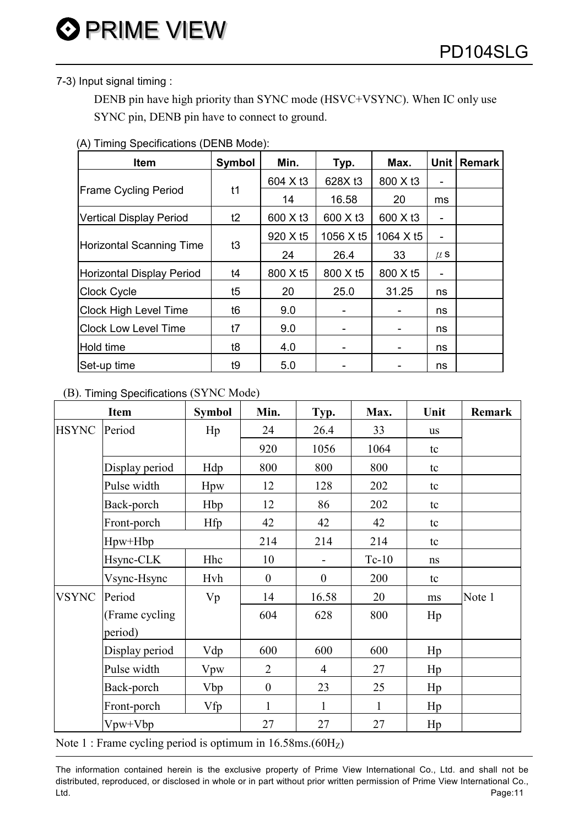#### 7-3) Input signal timing :

DENB pin have high priority than SYNC mode (HSVC+VSYNC). When IC only use SYNC pin, DENB pin have to connect to ground.

| <b>Item</b>                    | Symbol | Min.     | Typ.                 | Max.      | <b>Unit</b> | <b>Remark</b> |
|--------------------------------|--------|----------|----------------------|-----------|-------------|---------------|
|                                |        | 604 X t3 | 628X t3              | 800 X t3  |             |               |
| <b>Frame Cycling Period</b>    | t1     | 14       | 16.58                | 20        | ms          |               |
| <b>Vertical Display Period</b> | t2     | 600 X t3 | 600 X t <sub>3</sub> | 600 X t3  |             |               |
|                                |        | 920 X t5 | 1056 X t5            | 1064 X t5 |             |               |
| Horizontal Scanning Time       | t3     | 24       | 26.4                 | 33        | $\mu$ S     |               |
| Horizontal Display Period      | t4     | 800 X t5 | 800 X t5             | 800 X t5  | ۰           |               |
| <b>Clock Cycle</b>             | t5     | 20       | 25.0                 | 31.25     | ns          |               |
| <b>Clock High Level Time</b>   | t6     | 9.0      |                      |           | ns          |               |
| <b>Clock Low Level Time</b>    | t7     | 9.0      |                      |           | ns          |               |
| Hold time                      | t8     | 4.0      | -                    | -         | ns          |               |
| Set-up time                    | t9     | 5.0      |                      |           | ns          |               |

#### (A) Timing Specifications (DENB Mode):

#### (B). Timing Specifications (SYNC Mode)

| <b>Item</b>  |                 | <b>Symbol</b> | Min.             | Typ.             | Max.    | Unit      | <b>Remark</b> |
|--------------|-----------------|---------------|------------------|------------------|---------|-----------|---------------|
| <b>HSYNC</b> | Period          | Hp            | 24               | 26.4             | 33      | <b>us</b> |               |
|              |                 |               | 920              | 1056             | 1064    | tc        |               |
|              | Display period  | Hdp           | 800              | 800              | 800     | tc        |               |
|              | Pulse width     | Hpw           | 12               | 128              | 202     | tc        |               |
|              | Back-porch      | Hbp           | 12               | 86               | 202     | tc        |               |
|              | Front-porch     | <b>Hfp</b>    | 42               | 42               | 42      | tc        |               |
|              | $Hpw+Hbp$       |               | 214              | 214              | 214     | tc        |               |
|              | Hsync-CLK       | Hhc           | 10               |                  | $Tc-10$ | ns        |               |
|              | Vsync-Hsync     | Hvh           | $\boldsymbol{0}$ | $\boldsymbol{0}$ | 200     | tc        |               |
| <b>VSYNC</b> | Period          | Vp            | 14               | 16.58            | 20      | ms        | Note 1        |
|              | (Frame cycling) |               | 604              | 628              | 800     | Hp        |               |
|              | period)         |               |                  |                  |         |           |               |
|              | Display period  | Vdp           | 600              | 600              | 600     | Hp        |               |
|              | Pulse width     | Vpw           | $\overline{2}$   | $\overline{4}$   | 27      | Hp        |               |
|              | Back-porch      | Vbp           | $\boldsymbol{0}$ | 23               | 25      | Hp        |               |
|              | Front-porch     | Vfp           | $\mathbf{1}$     | 1                | 1       | Hp        |               |
|              | Vpw+Vbp         |               | 27               | 27               | 27      | Hp        |               |

Note 1 : Frame cycling period is optimum in  $16.58 \text{ms}$ .  $(60 \text{H}_z)$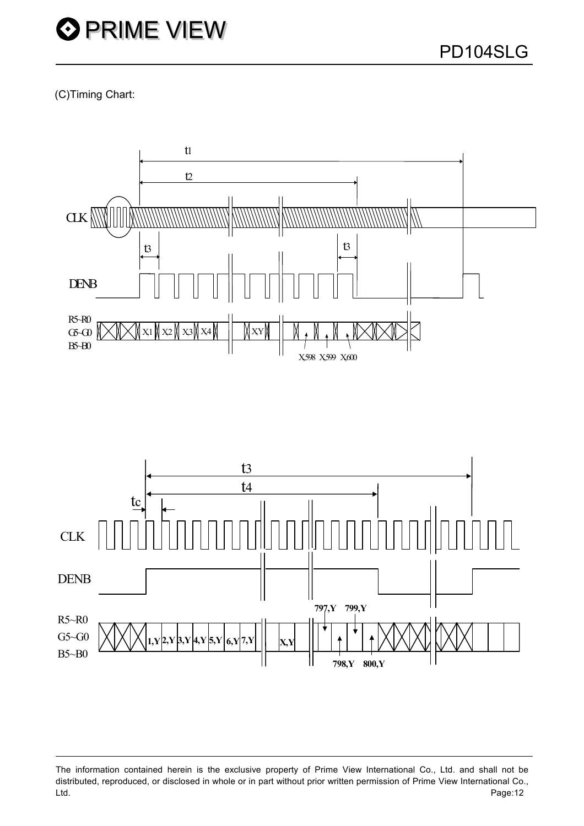(C)Timing Chart:



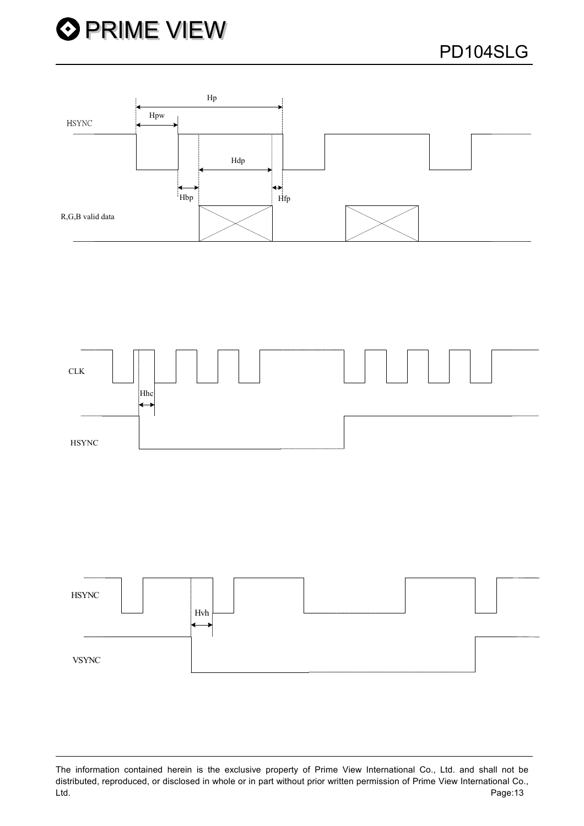



The information contained herein is the exclusive property of Prime View International Co., Ltd. and shall not be distributed, reproduced, or disclosed in whole or in part without prior written permission of Prime View International Co., Ltd. Page:13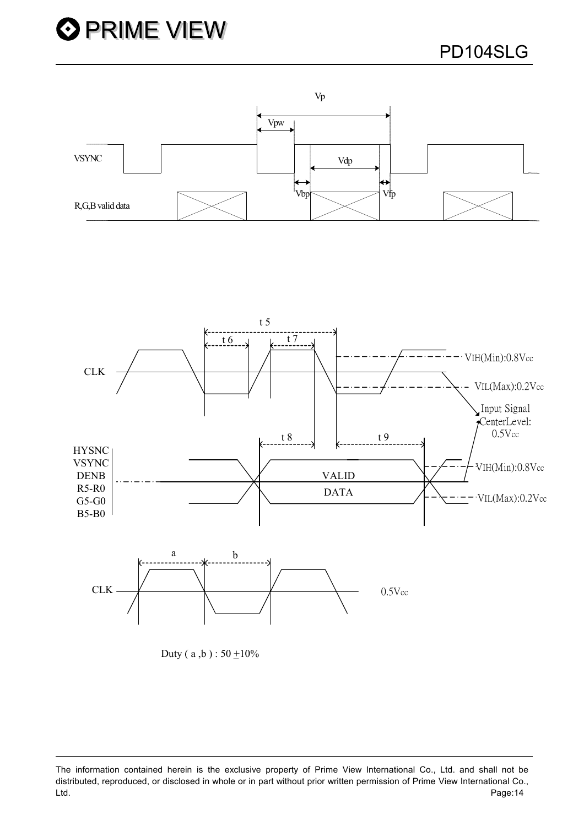



Duty (a,b):  $50 + 10\%$ 

The information contained herein is the exclusive property of Prime View International Co., Ltd. and shall not be distributed, reproduced, or disclosed in whole or in part without prior written permission of Prime View International Co., Ltd. Page:14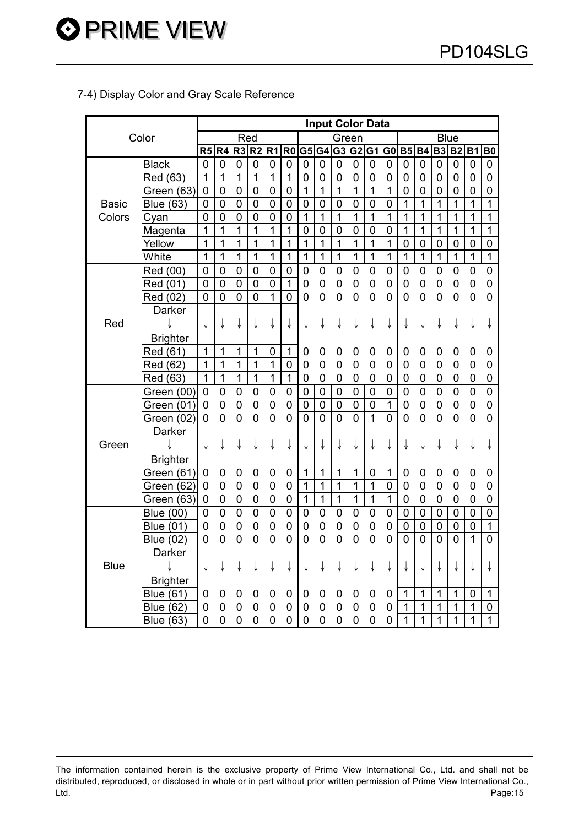#### 7-4) Display Color and Gray Scale Reference

| Color        |                  | <b>Input Color Data</b> |                |                |                |                |                |                |                |                |                |                |                |                |                |                |                |                |                |
|--------------|------------------|-------------------------|----------------|----------------|----------------|----------------|----------------|----------------|----------------|----------------|----------------|----------------|----------------|----------------|----------------|----------------|----------------|----------------|----------------|
|              |                  | Red                     |                |                |                | Green          |                |                |                |                |                | <b>Blue</b>    |                |                |                |                |                |                |                |
|              |                  | R <sub>5</sub>          | R <sub>4</sub> |                | $R3$ $R2$      | R <sub>1</sub> | R <sub>0</sub> |                | G5 G4          |                | G3 G2 G1       |                | G0             | B <sub>5</sub> | <b>B4</b>      | <b>B3</b>      | <b>B2</b>      | <b>B1</b>      | <b>B0</b>      |
|              | <b>Black</b>     | $\overline{0}$          | $\overline{0}$ | $\mathbf 0$    | $\overline{0}$ | $\mathbf 0$    | $\overline{0}$ | $\overline{0}$ | $\mathbf 0$    | $\overline{0}$ | $\mathbf 0$    | $\overline{0}$ | $\overline{0}$ | 0              | 0              | $\overline{0}$ | 0              | 0              | $\mathbf 0$    |
|              | Red (63)         | $\mathbf{1}$            | $\mathbf{1}$   | 1              | 1              | 1              | $\overline{1}$ | $\overline{0}$ | $\mathbf 0$    | 0              | 0              | 0              | 0              | 0              | 0              | 0              | 0              | 0              | 0              |
|              | Green (63)       | 0                       | 0              | 0              | 0              | 0              | 0              | 1              | $\mathbf 1$    | 1              | 1              | 1              | 1              | 0              | 0              | 0              | 0              | 0              | 0              |
| <b>Basic</b> | Blue (63)        | 0                       | 0              | $\overline{0}$ | $\mathbf 0$    | 0              | 0              | 0              | 0              | 0              | 0              | 0              | 0              | 1              | 1              | 1              | 1              | 1              | 1              |
| Colors       | Cyan             | $\overline{0}$          | $\overline{0}$ | $\overline{0}$ | $\overline{0}$ | $\overline{0}$ | $\overline{0}$ | 1              | $\mathbf{1}$   | 1              | 1              | 1              | 1              | 1              | 1              | $\overline{1}$ | 1              | $\mathbf{1}$   | 1              |
|              | Magenta          | $\mathbf{1}$            | 1              | 1              | 1              | 1              | $\overline{1}$ | $\mathbf 0$    | 0              | $\mathbf 0$    | $\mathbf 0$    | $\mathbf 0$    | 0              | 1              | $\overline{1}$ | $\mathbf{1}$   | $\overline{1}$ | $\mathbf{1}$   | $\mathbf 1$    |
|              | Yellow           | $\overline{1}$          | $\overline{1}$ | $\mathbf{1}$   | 1              | $\mathbf{1}$   | $\overline{1}$ | $\overline{1}$ | $\overline{1}$ | $\mathbf{1}$   | $\overline{1}$ | $\overline{1}$ | 1              | $\overline{0}$ | $\overline{0}$ | $\mathbf 0$    | 0              | $\mathbf 0$    | $\mathbf 0$    |
|              | White            | 1                       | $\overline{1}$ | 1              | 1              | 1              | $\overline{1}$ | $\overline{1}$ | $\overline{1}$ | $\overline{1}$ | 1              | 1              | 1              | 1              | $\overline{1}$ | $\overline{1}$ | 1              | $\overline{1}$ | 1              |
|              | Red (00)         | $\mathbf 0$             | $\mathbf 0$    | $\mathbf 0$    | $\mathbf 0$    | $\mathbf 0$    | $\mathbf 0$    | $\mathbf 0$    | 0              | 0              | $\mathbf 0$    | 0              | 0              | $\mathbf 0$    | $\overline{0}$ | $\mathbf 0$    | $\overline{0}$ | 0              | 0              |
|              | Red (01)         | $\mathbf 0$             | $\overline{0}$ | $\mathbf 0$    | $\overline{0}$ | $\overline{0}$ | $\overline{1}$ | $\mathbf 0$    | 0              | 0              | 0              | $\mathbf 0$    | 0              | 0              | $\mathbf 0$    | $\mathbf 0$    | $\mathbf 0$    | 0              | 0              |
|              | Red (02)         | $\mathbf 0$             | 0              | $\overline{0}$ | $\overline{0}$ | 1              | 0              | $\mathbf 0$    | 0              | 0              | $\overline{0}$ | $\mathbf 0$    | 0              | 0              | $\overline{0}$ | $\mathbf 0$    | $\overline{0}$ | $\mathbf 0$    | 0              |
|              | Darker           |                         |                |                |                |                |                |                |                |                |                |                |                |                |                |                |                |                |                |
| Red          |                  |                         |                |                |                |                |                | ↓              | ↓              | ↓              | ↓              | ↓              | ↓              | ↓              | ↓              | ↓              |                |                |                |
|              | <b>Brighter</b>  |                         |                |                |                |                |                |                |                |                |                |                |                |                |                |                |                |                |                |
|              | Red (61)         | $\mathbf 1$             | 1              | 1              | 1              | 0              | 1              | 0              | 0              | 0              | 0              | 0              | 0              | 0              | $\mathbf 0$    | $\mathbf 0$    | $\mathbf 0$    | 0              | 0              |
|              | Red (62)         | $\mathbf{1}$            | 1              | 1              | $\mathbf{1}$   | 1              | $\overline{0}$ | 0              | $\overline{0}$ | $\overline{0}$ | 0              | 0              | 0              | 0              | $\mathbf 0$    | $\mathbf 0$    | $\mathbf 0$    | $\mathbf 0$    | 0              |
|              | Red (63)         | $\mathbf{1}$            | $\mathbf{1}$   | $\mathbf{1}$   | $\mathbf{1}$   | $\mathbf{1}$   | $\mathbf{1}$   | $\mathbf 0$    | $\overline{0}$ | 0              | 0              | 0              | 0              | 0              | 0              | 0              | 0              | 0              | 0              |
|              | Green (00)       | $\mathbf 0$             | 0              | $\mathbf 0$    | $\mathbf 0$    | $\mathbf 0$    | $\mathbf 0$    | $\mathbf 0$    | $\mathbf 0$    | $\mathbf 0$    | $\mathbf 0$    | $\mathbf 0$    | $\mathbf 0$    | $\overline{0}$ | $\overline{0}$ | $\mathbf 0$    | $\overline{0}$ | 0              | $\overline{0}$ |
|              | Green (01)       | $\mathbf 0$             | 0              | 0              | $\mathbf 0$    | $\mathbf 0$    | 0              | $\mathbf 0$    | $\mathbf 0$    | $\mathbf 0$    | $\mathbf 0$    | $\mathbf 0$    | $\mathbf{1}$   | 0              | $\overline{0}$ | $\mathbf 0$    | $\overline{0}$ | 0              | $\mathbf 0$    |
|              | Green (02)       | 0                       | 0              | 0              | 0              | 0              | 0              | 0              | 0              | 0              | 0              | 1              | 0              | 0              | $\overline{0}$ | $\mathbf 0$    | $\overline{0}$ | 0              | 0              |
|              | Darker           |                         |                |                |                |                |                |                |                |                |                |                |                |                |                |                |                |                |                |
| Green        |                  | ↓                       | ↓              | $\downarrow$   | ↓              | ↓              | ↓              |                | ↓              |                |                |                | ↓              | ↓              | ↓              | ↓              | ↓              | ↓              |                |
|              | <b>Brighter</b>  |                         |                |                |                |                |                |                |                |                |                |                |                |                |                |                |                |                |                |
|              | Green (61)       | 0                       | $\mathbf 0$    | 0              | 0              | 0              | 0              | 1              | 1              | 1              | 1              | 0              | 1              | 0              | 0              | 0              | 0              | 0              | 0              |
|              | Green (62)       | 0                       | 0              | $\mathbf 0$    | $\mathbf 0$    | 0              | $\mathbf 0$    | 1              | $\mathbf{1}$   | $\mathbf{1}$   | 1              | $\mathbf 1$    | 0              | 0              | $\overline{0}$ | $\mathbf 0$    | $\overline{0}$ | $\mathbf 0$    | 0              |
|              | Green (63)       | 0                       | $\mathbf 0$    | 0              | $\mathbf 0$    | $\mathbf 0$    | $\mathbf 0$    | $\mathbf{1}$   | $\mathbf{1}$   | $\mathbf{1}$   | $\mathbf 1$    | $\overline{1}$ | $\mathbf{1}$   | $\mathbf 0$    | $\mathbf 0$    | 0              | 0              | 0              | 0              |
|              | Blue (00)        | 0                       | $\mathbf 0$    | $\mathbf 0$    | 0              | $\mathbf 0$    | $\mathbf 0$    | $\mathbf 0$    | 0              | 0              | 0              | 0              | 0              | 0              | 0              | 0              | 0              | 0              | 0              |
|              | Blue (01)        | 0                       | 0              | 0              | $\mathbf 0$    | $\mathbf 0$    | 0              | 0              | 0              | 0              | 0              | 0              | 0              | 0              | 0              | 0              | 0              | 0              | $\mathbf 1$    |
|              | <b>Blue (02)</b> | 0                       | 0              | 0              | 0              | $\overline{0}$ | 0              | $\overline{0}$ | $\overline{0}$ | $\overline{0}$ | 0              | 0              | $\overline{0}$ | 0              | $\overline{0}$ | $\overline{0}$ | 0              | $\overline{1}$ | $\overline{0}$ |
|              | Darker           |                         |                |                |                |                |                |                |                |                |                |                |                |                |                |                |                |                |                |
| <b>Blue</b>  |                  | ↓                       | ↓              | ↓              | ↓              | ↓              | ↓              |                |                |                | ↓              | ↓              | ↓              | ↓              | ↓              | ↓              | ↓              | ↓              | ↓              |
|              | <b>Brighter</b>  |                         |                |                |                |                |                |                |                |                |                |                |                |                |                |                |                |                |                |
|              | <b>Blue (61)</b> | 0                       | 0              | 0              | 0              | 0              | 0              | 0              | 0              | 0              | 0              | 0              | 0              | 1              | 1              | 1              | 1              | 0              | 1              |
|              | <b>Blue (62)</b> | 0                       | 0              | 0              | 0              | $\mathbf 0$    | 0              | $\mathbf 0$    | 0              | 0              | 0              | 0              | 0              | $\mathbf 1$    | 1              | $\mathbf 1$    | 1              | 1              | $\pmb{0}$      |
|              | <b>Blue (63)</b> | $\mathbf 0$             | $\overline{0}$ | 0              | 0              | $\overline{0}$ | 0              | $\overline{0}$ | 0              | 0              | 0              | $\overline{0}$ | 0              | 1              | 1              | 1              | 1              | 1              | 1              |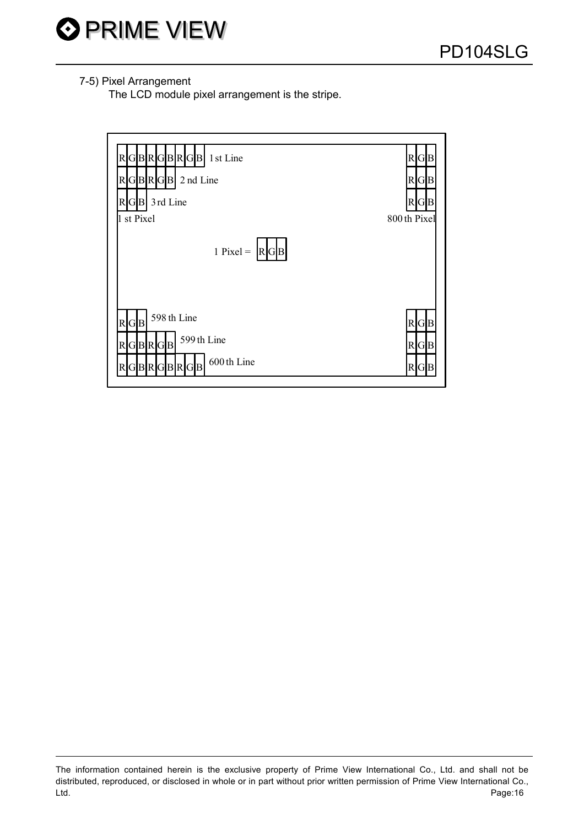

#### 7-5) Pixel Arrangement

The LCD module pixel arrangement is the stripe.



The information contained herein is the exclusive property of Prime View International Co., Ltd. and shall not be distributed, reproduced, or disclosed in whole or in part without prior written permission of Prime View International Co., Ltd. Page:16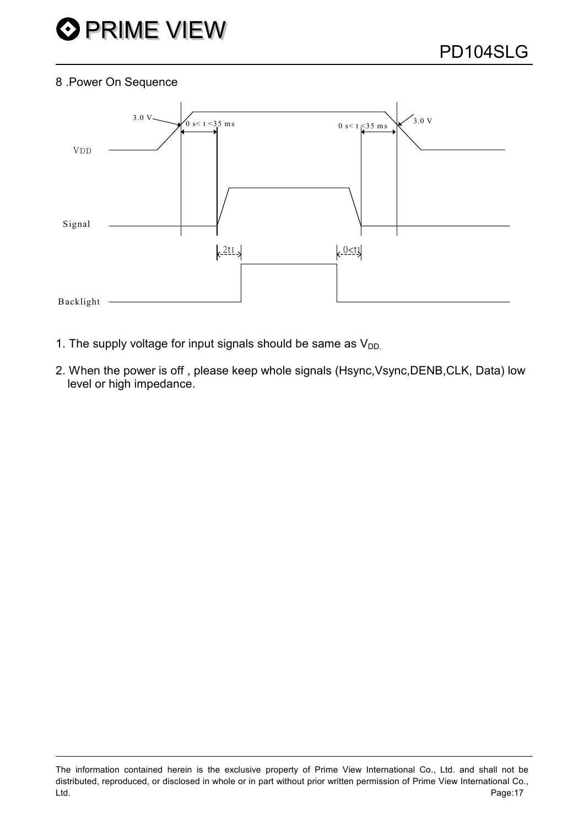

#### 8 .Power On Sequence



- 1. The supply voltage for input signals should be same as  $V_{DD}$ .
- 2. When the power is off , please keep whole signals (Hsync,Vsync,DENB,CLK, Data) low level or high impedance.

The information contained herein is the exclusive property of Prime View International Co., Ltd. and shall not be distributed, reproduced, or disclosed in whole or in part without prior written permission of Prime View International Co., Ltd. Page:17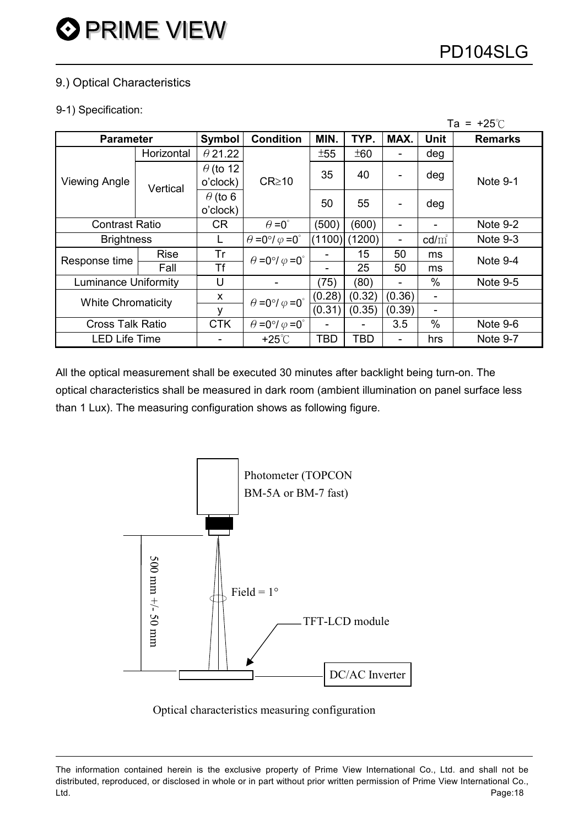#### 9.) Optical Characteristics

#### 9-1) Specification:

|                             |             |                             |                                          |        |        | Ta = $+25^{\circ}$ C |                          |                 |  |
|-----------------------------|-------------|-----------------------------|------------------------------------------|--------|--------|----------------------|--------------------------|-----------------|--|
| <b>Parameter</b>            |             | Symbol                      | <b>Condition</b>                         | MIN.   | TYP.   | MAX.                 | <b>Unit</b>              | <b>Remarks</b>  |  |
|                             | Horizontal  | $\theta$ 21.22              |                                          | ±55    | ±60    |                      | deg                      |                 |  |
| <b>Viewing Angle</b>        | Vertical    | $\theta$ (to 12<br>o'clock) | $CR \ge 10$                              | 35     | 40     |                      | deg                      | Note 9-1        |  |
|                             |             | $\theta$ (to 6<br>o'clock)  |                                          | 50     | 55     |                      | deg                      |                 |  |
| <b>Contrast Ratio</b>       |             | <b>CR</b>                   | $\theta = 0^{\circ}$                     | (500)  | (600)  |                      |                          | Note 9-2        |  |
| <b>Brightness</b>           |             |                             | $\theta = 0^{\circ}/\varphi = 0^{\circ}$ | (1100) | (1200) |                      | $\text{cd/m}^2$          | Note 9-3        |  |
| Response time               | <b>Rise</b> | Tr                          | $\theta = 0^{\circ}/\varphi = 0^{\circ}$ |        | 15     | 50                   | ms                       | Note 9-4        |  |
|                             | Fall        | <b>Tf</b>                   |                                          |        | 25     | 50                   | ms                       |                 |  |
| <b>Luminance Uniformity</b> |             | U                           |                                          | (75)   | (80)   |                      | $\%$                     | <b>Note 9-5</b> |  |
| <b>White Chromaticity</b>   |             | X                           | $\theta = 0^{\circ}/\varphi = 0^{\circ}$ | (0.28) | (0.32) | (0.36)               | $\overline{\phantom{a}}$ |                 |  |
|                             |             | v                           |                                          | (0.31) | (0.35) | (0.39)               | -                        |                 |  |
| <b>Cross Talk Ratio</b>     |             | <b>CTK</b>                  | $\theta = 0^{\circ}/\varphi = 0^{\circ}$ |        |        | 3.5                  | $\%$                     | Note 9-6        |  |
| <b>LED Life Time</b>        |             |                             | $+25^{\circ}$ C                          | TBD    | TBD    |                      | hrs                      | Note 9-7        |  |

All the optical measurement shall be executed 30 minutes after backlight being turn-on. The optical characteristics shall be measured in dark room (ambient illumination on panel surface less than 1 Lux). The measuring configuration shows as following figure.



Optical characteristics measuring configuration

The information contained herein is the exclusive property of Prime View International Co., Ltd. and shall not be distributed, reproduced, or disclosed in whole or in part without prior written permission of Prime View International Co., Ltd. Page:18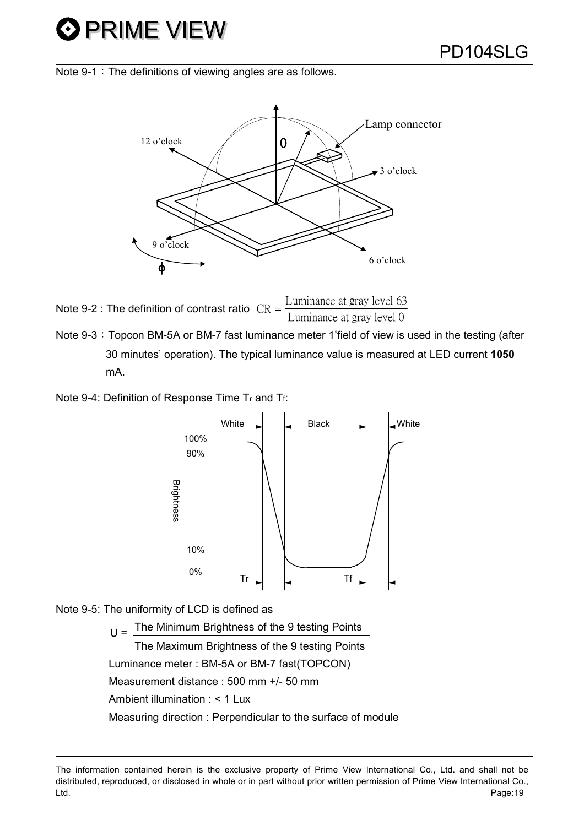# **O PRIME VIEW**

Note  $9-1$ : The definitions of viewing angles are as follows.



- Note 9-2 : The definition of contrast ratio  $CR =$ Luminance at gray level 63<br>
Luminance at gray level 0
- Note 9-3: Topcon BM-5A or BM-7 fast luminance meter 1°field of view is used in the testing (after 30 minutes' operation). The typical luminance value is measured at LED current 1050 mA.
- Note 9-4: Definition of Response Time Tr and Tf:





 $U =$  The Minimum Brightness of the 9 testing Points The Maximum Brightness of the 9 testing Points Luminance meter : BM-5A or BM-7 fast(TOPCON) Measurement distance : 500 mm +/- 50 mm Ambient illumination : < 1 Lux Measuring direction : Perpendicular to the surface of module

The information contained herein is the exclusive property of Prime View International Co., Ltd. and shall not be distributed, reproduced, or disclosed in whole or in part without prior written permission of Prime View International Co., Ltd. Page:19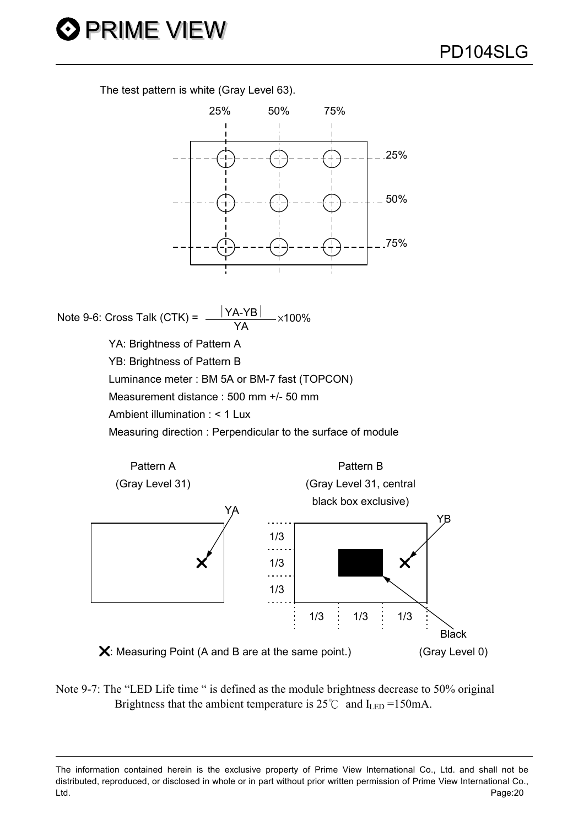The test pattern is white (Gray Level 63).



Note 9-6: Cross Talk  $(CTK) = \frac{|YA-YB|}{YA} \times 100\%$  YA: Brightness of Pattern A YB: Brightness of Pattern B Luminance meter : BM 5A or BM-7 fast (TOPCON) Measurement distance : 500 mm +/- 50 mm Ambient illumination : < 1 Lux Measuring direction : Perpendicular to the surface of module



Note 9-7: The "LED Life time " is defined as the module brightness decrease to 50% original Brightness that the ambient temperature is  $25^{\circ}$  and  $I_{LED} = 150 \text{mA}$ .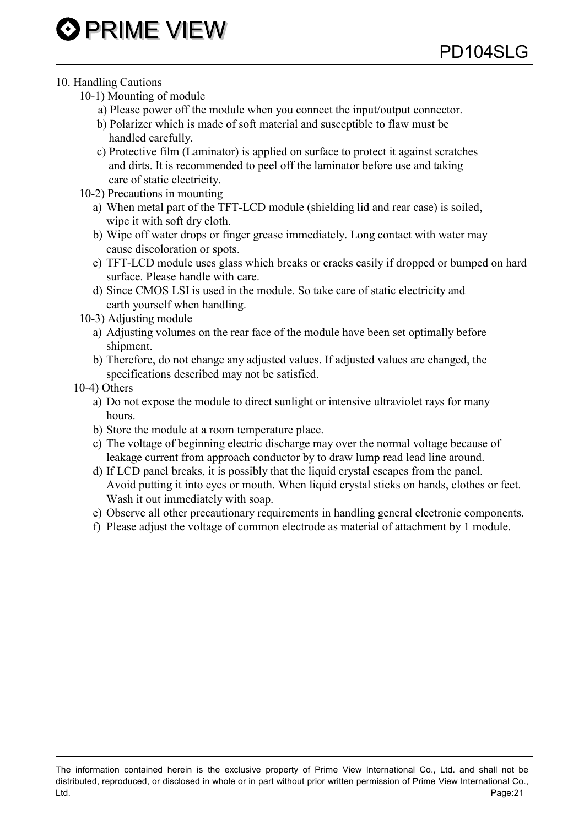#### 10. Handling Cautions

- 10-1) Mounting of module
	- a) Please power off the module when you connect the input/output connector.
	- b) Polarizer which is made of soft material and susceptible to flaw must be handled carefully.
	- c) Protective film (Laminator) is applied on surface to protect it against scratches and dirts. It is recommended to peel off the laminator before use and taking care of static electricity.
- 10-2) Precautions in mounting
	- a) When metal part of the TFT-LCD module (shielding lid and rear case) is soiled, wipe it with soft dry cloth.
	- b) Wipe off water drops or finger grease immediately. Long contact with water may cause discoloration or spots.
	- c) TFT-LCD module uses glass which breaks or cracks easily if dropped or bumped on hard surface. Please handle with care.
	- d) Since CMOS LSI is used in the module. So take care of static electricity and earth yourself when handling.
- 10-3) Adjusting module
	- a) Adjusting volumes on the rear face of the module have been set optimally before shipment.
	- b) Therefore, do not change any adjusted values. If adjusted values are changed, the specifications described may not be satisfied.

#### 10-4) Others

- a) Do not expose the module to direct sunlight or intensive ultraviolet rays for many hours.
- b) Store the module at a room temperature place.
- c) The voltage of beginning electric discharge may over the normal voltage because of leakage current from approach conductor by to draw lump read lead line around.
- d) If LCD panel breaks, it is possibly that the liquid crystal escapes from the panel. Avoid putting it into eyes or mouth. When liquid crystal sticks on hands, clothes or feet. Wash it out immediately with soap.
- e) Observe all other precautionary requirements in handling general electronic components.
- f) Please adjust the voltage of common electrode as material of attachment by 1 module.

The information contained herein is the exclusive property of Prime View International Co., Ltd. and shall not be distributed, reproduced, or disclosed in whole or in part without prior written permission of Prime View International Co., Ltd. Page:21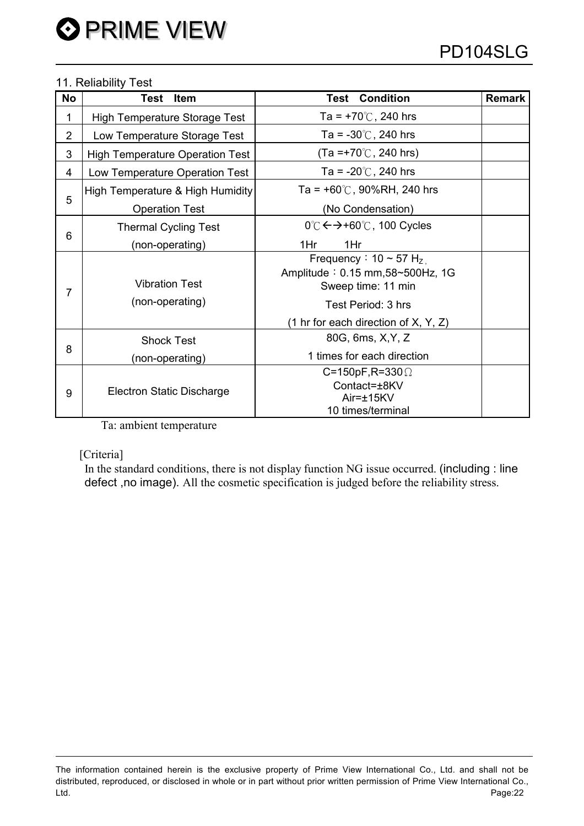#### 11. Reliability Test

| <b>No</b>      | Test<br><b>Item</b>                    | <b>Condition</b><br>Test                                                                         | <b>Remark</b> |
|----------------|----------------------------------------|--------------------------------------------------------------------------------------------------|---------------|
| 1              | <b>High Temperature Storage Test</b>   | Ta = $+70^{\circ}$ C, 240 hrs                                                                    |               |
| $\overline{2}$ | Low Temperature Storage Test           | Ta = $-30^{\circ}$ C, 240 hrs                                                                    |               |
| 3              | <b>High Temperature Operation Test</b> | $(Ta = +70^{\circ}C, 240$ hrs)                                                                   |               |
| 4              | Low Temperature Operation Test         | Ta = $-20^{\circ}$ , 240 hrs                                                                     |               |
|                | High Temperature & High Humidity       | Ta = $+60^{\circ}$ C, 90%RH, 240 hrs                                                             |               |
| 5              | <b>Operation Test</b>                  | (No Condensation)                                                                                |               |
| 6              | <b>Thermal Cycling Test</b>            | 0℃ ← → +60℃, 100 Cycles                                                                          |               |
|                | (non-operating)                        | 1Hr<br>1Hr                                                                                       |               |
| 7              | <b>Vibration Test</b>                  | Frequency: $10 \sim 57$ H <sub>z</sub><br>Amplitude: 0.15 mm, 58~500Hz, 1G<br>Sweep time: 11 min |               |
|                | (non-operating)                        | Test Period: 3 hrs                                                                               |               |
|                |                                        | (1 hr for each direction of $X, Y, Z$ )                                                          |               |
|                | <b>Shock Test</b>                      | 80G, 6ms, X, Y, Z                                                                                |               |
| 8              | (non-operating)                        | 1 times for each direction                                                                       |               |
| 9              | <b>Electron Static Discharge</b>       | C=150pF,R=330 $\Omega$<br>Contact=±8KV<br>$Air=\pm 15KV$<br>10 times/terminal                    |               |

Ta: ambient temperature

#### [Criteria]

In the standard conditions, there is not display function NG issue occurred. (including : line defect ,no image). All the cosmetic specification is judged before the reliability stress.

The information contained herein is the exclusive property of Prime View International Co., Ltd. and shall not be distributed, reproduced, or disclosed in whole or in part without prior written permission of Prime View International Co., Ltd. Page:22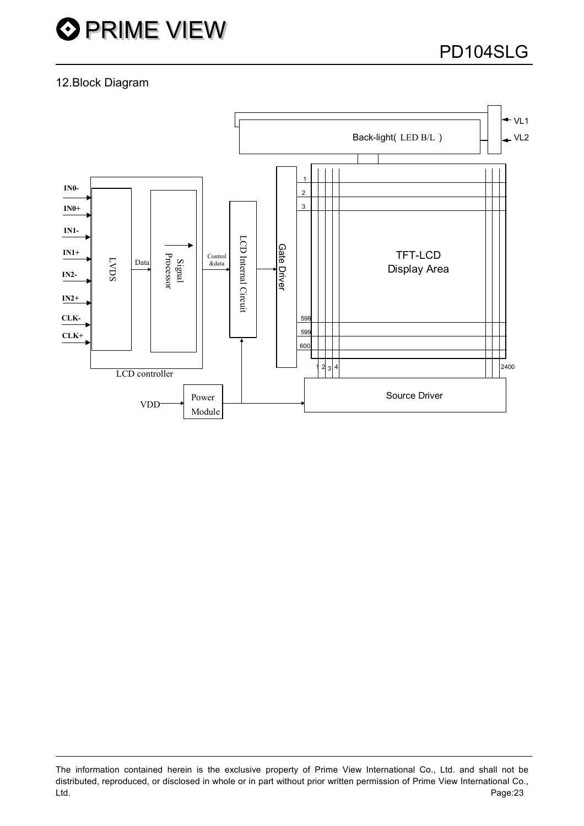#### 12.Block Diagram



The information contained herein is the exclusive property of Prime View International Co., Ltd. and shall not be distributed, reproduced, or disclosed in whole or in part without prior written permission of Prime View International Co., Ltd. Page:23